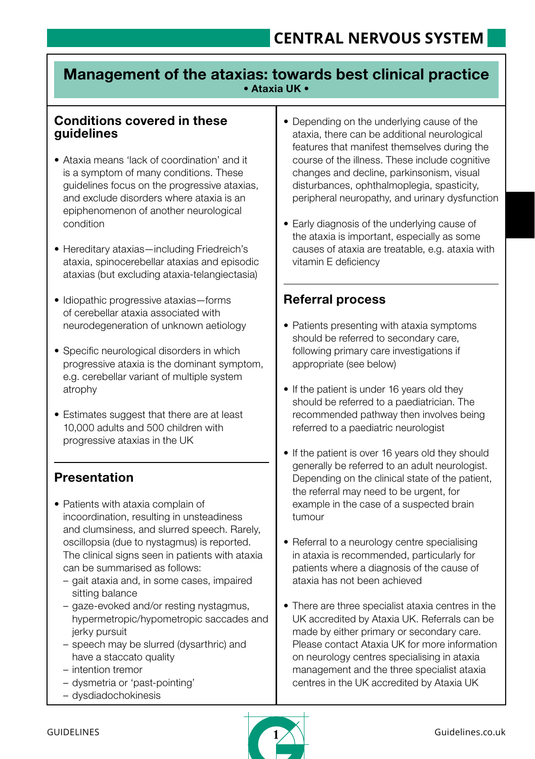# Management of the ataxias: towards best clinical practice • Ataxia UK •

### Conditions covered in these guidelines

- Ataxia means 'lack of coordination' and it is a symptom of many conditions. These guidelines focus on the progressive ataxias, and exclude disorders where ataxia is an epiphenomenon of another neurological condition
- Hereditary ataxias—including Friedreich's ataxia, spinocerebellar ataxias and episodic ataxias (but excluding ataxia-telangiectasia)
- Idiopathic progressive ataxias—forms of cerebellar ataxia associated with neurodegeneration of unknown aetiology
- Specific neurological disorders in which progressive ataxia is the dominant symptom, e.g. cerebellar variant of multiple system atrophy
- Estimates suggest that there are at least 10,000 adults and 500 children with progressive ataxias in the UK

# **Presentation**

- Patients with ataxia complain of incoordination, resulting in unsteadiness and clumsiness, and slurred speech. Rarely, oscillopsia (due to nystagmus) is reported. The clinical signs seen in patients with ataxia can be summarised as follows:
	- gait ataxia and, in some cases, impaired sitting balance
	- gaze-evoked and/or resting nystagmus, hypermetropic/hypometropic saccades and jerky pursuit
	- speech may be slurred (dysarthric) and have a staccato quality
	- intention tremor
	- dysmetria or 'past-pointing'
	- dysdiadochokinesis
- Depending on the underlying cause of the ataxia, there can be additional neurological features that manifest themselves during the course of the illness. These include cognitive changes and decline, parkinsonism, visual disturbances, ophthalmoplegia, spasticity, peripheral neuropathy, and urinary dysfunction
- Early diagnosis of the underlying cause of the ataxia is important, especially as some causes of ataxia are treatable, e.g. ataxia with vitamin E deficiency

# Referral process

- Patients presenting with ataxia symptoms should be referred to secondary care, following primary care investigations if appropriate (see below)
- If the patient is under 16 years old they should be referred to a paediatrician. The recommended pathway then involves being referred to a paediatric neurologist
- If the patient is over 16 years old they should generally be referred to an adult neurologist. Depending on the clinical state of the patient, the referral may need to be urgent, for example in the case of a suspected brain tumour
- Referral to a neurology centre specialising in ataxia is recommended, particularly for patients where a diagnosis of the cause of ataxia has not been achieved
- There are three specialist ataxia centres in the UK accredited by Ataxia UK. Referrals can be made by either primary or secondary care. Please contact Ataxia UK for more information on neurology centres specialising in ataxia management and the three specialist ataxia centres in the UK accredited by Ataxia UK

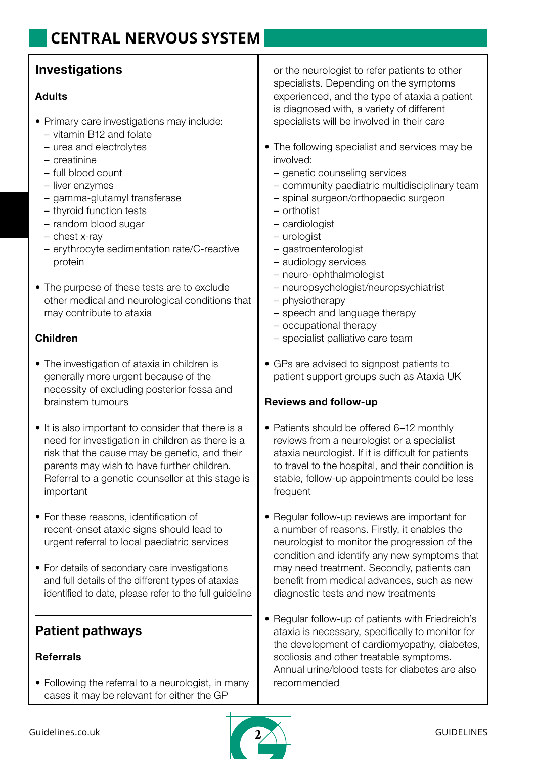# **Investigations**

#### Adults

- Primary care investigations may include:
	- vitamin B12 and folate
	- urea and electrolytes
	- creatinine
	- full blood count
	- liver enzymes
	- gamma-glutamyl transferase
	- thyroid function tests
	- random blood sugar
	- chest x-ray
	- erythrocyte sedimentation rate/C-reactive protein
- The purpose of these tests are to exclude other medical and neurological conditions that may contribute to ataxia

### Children

- The investigation of ataxia in children is generally more urgent because of the necessity of excluding posterior fossa and brainstem tumours
- It is also important to consider that there is a need for investigation in children as there is a risk that the cause may be genetic, and their parents may wish to have further children. Referral to a genetic counsellor at this stage is important
- For these reasons, identification of recent-onset ataxic signs should lead to urgent referral to local paediatric services
- For details of secondary care investigations and full details of the different types of ataxias identified to date, please refer to the full guideline

# Patient pathways

#### Referrals

• Following the referral to a neurologist, in many cases it may be relevant for either the GP

or the neurologist to refer patients to other specialists. Depending on the symptoms experienced, and the type of ataxia a patient is diagnosed with, a variety of different specialists will be involved in their care

- The following specialist and services may be involved:
	- genetic counseling services
	- community paediatric multidisciplinary team
	- spinal surgeon/orthopaedic surgeon
	- orthotist
	- cardiologist
	- urologist
	- gastroenterologist
	- audiology services
	- neuro-ophthalmologist
	- neuropsychologist/neuropsychiatrist
	- physiotherapy
	- speech and language therapy
	- occupational therapy
	- specialist palliative care team
- GPs are advised to signpost patients to patient support groups such as Ataxia UK

### Reviews and follow-up

- Patients should be offered 6–12 monthly reviews from a neurologist or a specialist ataxia neurologist. If it is difficult for patients to travel to the hospital, and their condition is stable, follow-up appointments could be less frequent
- Regular follow-up reviews are important for a number of reasons. Firstly, it enables the neurologist to monitor the progression of the condition and identify any new symptoms that may need treatment. Secondly, patients can benefit from medical advances, such as new diagnostic tests and new treatments
- Regular follow-up of patients with Friedreich's ataxia is necessary, specifically to monitor for the development of cardiomyopathy, diabetes, scoliosis and other treatable symptoms. Annual urine/blood tests for diabetes are also recommended